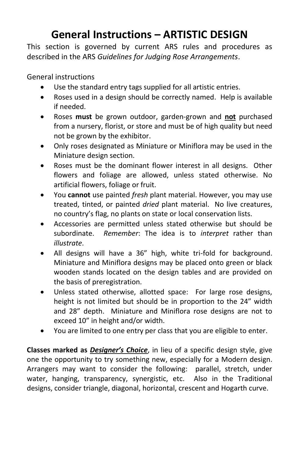## **General Instructions – ARTISTIC DESIGN**

This section is governed by current ARS rules and procedures as described in the ARS *Guidelines for Judging Rose Arrangements*.

General instructions

- Use the standard entry tags supplied for all artistic entries.
- Roses used in a design should be correctly named. Help is available if needed.
- Roses **must** be grown outdoor, garden-grown and **not** purchased from a nursery, florist, or store and must be of high quality but need not be grown by the exhibitor.
- Only roses designated as Miniature or Miniflora may be used in the Miniature design section.
- Roses must be the dominant flower interest in all designs. Other flowers and foliage are allowed, unless stated otherwise. No artificial flowers, foliage or fruit.
- You **cannot** use painted *fresh* plant material. However, you may use treated, tinted, or painted *dried* plant material. No live creatures, no country's flag, no plants on state or local conservation lists.
- Accessories are permitted unless stated otherwise but should be subordinate. *Remember*: The idea is to *interpret* rather than *illustrate*.
- All designs will have a 36" high, white tri-fold for background. Miniature and Miniflora designs may be placed onto green or black wooden stands located on the design tables and are provided on the basis of preregistration.
- Unless stated otherwise, allotted space: For large rose designs, height is not limited but should be in proportion to the 24" width and 28" depth. Miniature and Miniflora rose designs are not to exceed 10" in height and/or width.
- You are limited to one entry per class that you are eligible to enter.

**Classes marked as** *Designer's Choice*, in lieu of a specific design style, give one the opportunity to try something new, especially for a Modern design. Arrangers may want to consider the following: parallel, stretch, under water, hanging, transparency, synergistic, etc. Also in the Traditional designs, consider triangle, diagonal, horizontal, crescent and Hogarth curve.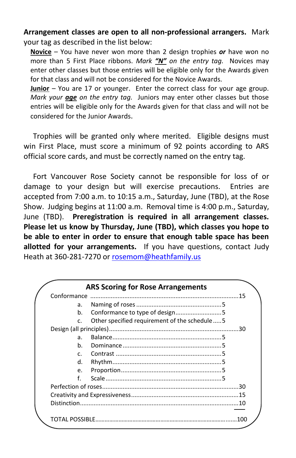**Arrangement classes are open to all non-professional arrangers.** Mark your tag as described in the list below:

**Novice** – You have never won more than 2 design trophies *or* have won no more than 5 First Place ribbons. *Mark "N" on the entry tag.* Novices may enter other classes but those entries will be eligible only for the Awards given for that class and will not be considered for the Novice Awards.

**Junior** – You are 17 or younger. Enter the correct class for your age group. *Mark your age on the entry tag.* Juniors may enter other classes but those entries will be eligible only for the Awards given for that class and will not be considered for the Junior Awards.

 Trophies will be granted only where merited. Eligible designs must win First Place, must score a minimum of 92 points according to ARS official score cards, and must be correctly named on the entry tag.

 Fort Vancouver Rose Society cannot be responsible for loss of or damage to your design but will exercise precautions. Entries are accepted from 7:00 a.m. to 10:15 a.m., Saturday, June (TBD), at the Rose Show. Judging begins at 11:00 a.m. Removal time is 4:00 p.m., Saturday, June (TBD). **Preregistration is required in all arrangement classes. Please let us know by Thursday, June (TBD), which classes you hope to be able to enter in order to ensure that enough table space has been allotted for your arrangements.** If you have questions, contact Judy Heath at 360-281-7270 or [rosemom@heathfamily.us](mailto:rosemom@heathfamily.us)

|  |                | <b>ARS Scoring for Rose Arrangements</b>     |  |
|--|----------------|----------------------------------------------|--|
|  |                |                                              |  |
|  | a <sub>1</sub> |                                              |  |
|  | b.             |                                              |  |
|  | $\mathsf{C}$   | Other specified requirement of the schedule5 |  |
|  |                |                                              |  |
|  | a <sub>1</sub> |                                              |  |
|  | h.             |                                              |  |
|  | $\mathsf{r}$   |                                              |  |
|  | d.             |                                              |  |
|  | e.             |                                              |  |
|  | f              |                                              |  |
|  |                |                                              |  |
|  |                |                                              |  |
|  |                |                                              |  |
|  |                |                                              |  |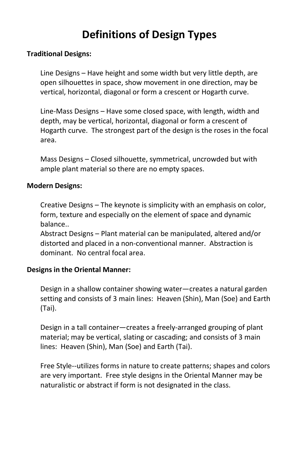# **Definitions of Design Types**

#### **Traditional Designs:**

Line Designs – Have height and some width but very little depth, are open silhouettes in space, show movement in one direction, may be vertical, horizontal, diagonal or form a crescent or Hogarth curve.

Line-Mass Designs – Have some closed space, with length, width and depth, may be vertical, horizontal, diagonal or form a crescent of Hogarth curve. The strongest part of the design is the roses in the focal area.

Mass Designs – Closed silhouette, symmetrical, uncrowded but with ample plant material so there are no empty spaces.

#### **Modern Designs:**

Creative Designs – The keynote is simplicity with an emphasis on color, form, texture and especially on the element of space and dynamic balance..

Abstract Designs – Plant material can be manipulated, altered and/or distorted and placed in a non-conventional manner. Abstraction is dominant. No central focal area.

#### **Designs in the Oriental Manner:**

Design in a shallow container showing water—creates a natural garden setting and consists of 3 main lines: Heaven (Shin), Man (Soe) and Earth (Tai).

Design in a tall container—creates a freely-arranged grouping of plant material; may be vertical, slating or cascading; and consists of 3 main lines: Heaven (Shin), Man (Soe) and Earth (Tai).

Free Style--utilizes forms in nature to create patterns; shapes and colors are very important. Free style designs in the Oriental Manner may be naturalistic or abstract if form is not designated in the class.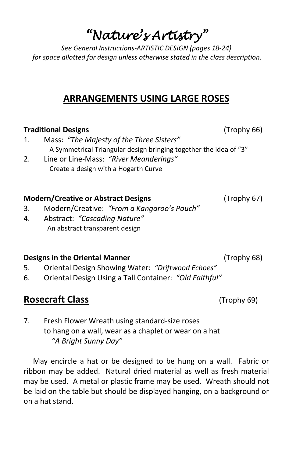# *"Nature's Artistry"*

*See General Instructions-ARTISTIC DESIGN (pages 18-24) for space allotted for design unless otherwise stated in the class description.*

## **ARRANGEMENTS USING LARGE ROSES**

## **Traditional Designs** (Trophy 66)

- 1. Mass: *"The Majesty of the Three Sisters"* A Symmetrical Triangular design bringing together the idea of "3"
- 2. Line or Line-Mass: *"River Meanderings"* Create a design with a Hogarth Curve

## **Modern/Creative or Abstract Designs** (Trophy 67)

- 3. Modern/Creative: *"From a Kangaroo's Pouch"*
- 4. Abstract: *"Cascading Nature"* An abstract transparent design

## **Designs in the Oriental Manner** (Trophy 68)

- 5. Oriental Design Showing Water: *"Driftwood Echoes"*
- 6. Oriental Design Using a Tall Container: *"Old Faithful"*

## **Rosecraft Class** (Trophy 69)

7. Fresh Flower Wreath using standard-size roses to hang on a wall, wear as a chaplet or wear on a hat *"A Bright Sunny Day"*

 May encircle a hat or be designed to be hung on a wall. Fabric or ribbon may be added. Natural dried material as well as fresh material may be used. A metal or plastic frame may be used. Wreath should not be laid on the table but should be displayed hanging, on a background or on a hat stand.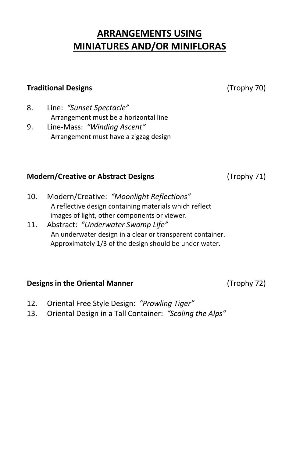## **ARRANGEMENTS USING MINIATURES AND/OR MINIFLORAS**

#### **Traditional Designs** (Trophy 70)

- 8. Line: *"Sunset Spectacle"* Arrangement must be a horizontal line
- 9. Line-Mass: *"Winding Ascent"* Arrangement must have a zigzag design

## **Modern/Creative or Abstract Designs** (Trophy 71)

- 10. Modern/Creative: *"Moonlight Reflections"* A reflective design containing materials which reflect images of light, other components or viewer.
- 11. Abstract: *"Underwater Swamp Life"* An underwater design in a clear or transparent container. Approximately 1/3 of the design should be under water.

## **Designs in the Oriental Manner** (Trophy 72)

- 12. Oriental Free Style Design: *"Prowling Tiger"*
- 13. Oriental Design in a Tall Container: *"Scaling the Alps"*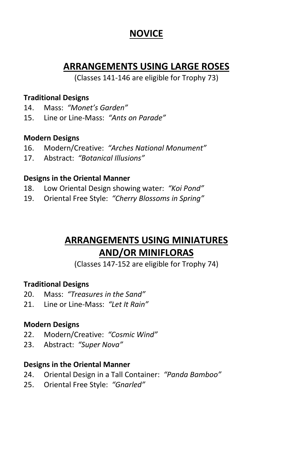## **NOVICE**

## **ARRANGEMENTS USING LARGE ROSES**

(Classes 141-146 are eligible for Trophy 73)

## **Traditional Designs**

- 14. Mass: *"Monet's Garden"*
- 15. Line or Line-Mass: *"Ants on Parade"*

## **Modern Designs**

- 16. Modern/Creative: *"Arches National Monument"*
- 17. Abstract: *"Botanical Illusions"*

## **Designs in the Oriental Manner**

- 18. Low Oriental Design showing water: *"Koi Pond"*
- 19. Oriental Free Style: *"Cherry Blossoms in Spring"*

## **ARRANGEMENTS USING MINIATURES AND/OR MINIFLORAS**

(Classes 147-152 are eligible for Trophy 74)

## **Traditional Designs**

- 20. Mass: *"Treasures in the Sand"*
- 21. Line or Line-Mass: *"Let It Rain"*

## **Modern Designs**

- 22. Modern/Creative: *"Cosmic Wind"*
- 23. Abstract: *"Super Nova"*

## **Designs in the Oriental Manner**

- 24. Oriental Design in a Tall Container: *"Panda Bamboo"*
- 25. Oriental Free Style: *"Gnarled"*